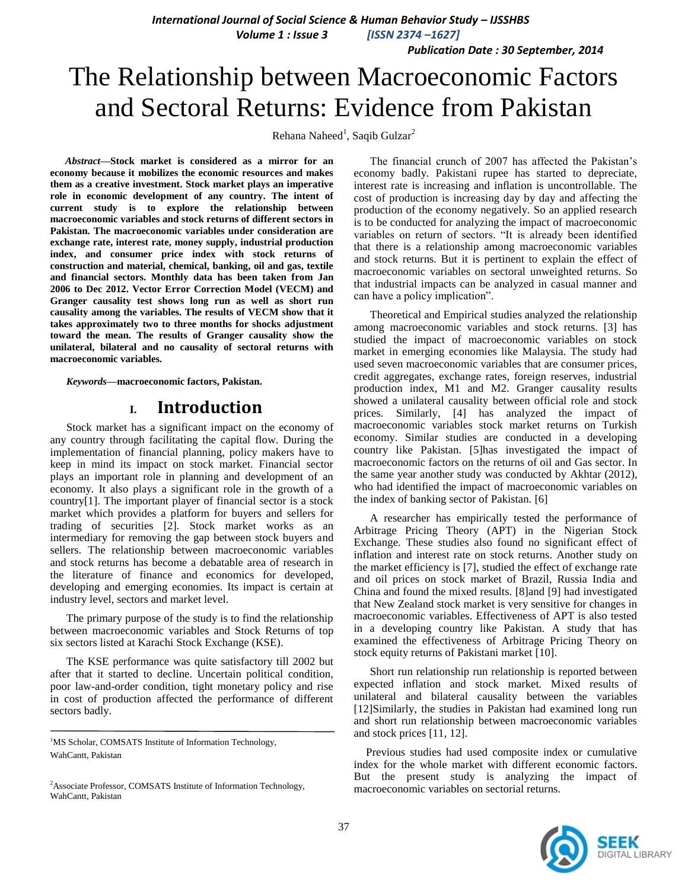*International Journal of Social Science & Human Behavior Study – IJSSHBS*

 *Volume 1 : Issue 3 [ISSN 2374 –1627]*

 *Publication Date : 30 September, 2014*

# The Relationship between Macroeconomic Factors and Sectoral Returns: Evidence from Pakistan

Rehana Naheed<sup>1</sup>, Saqib Gulzar<sup>2</sup>

*Abstract***—Stock market is considered as a mirror for an economy because it mobilizes the economic resources and makes them as a creative investment. Stock market plays an imperative role in economic development of any country. The intent of current study is to explore the relationship between macroeconomic variables and stock returns of different sectors in Pakistan. The macroeconomic variables under consideration are exchange rate, interest rate, money supply, industrial production index, and consumer price index with stock returns of construction and material, chemical, banking, oil and gas, textile and financial sectors. Monthly data has been taken from Jan 2006 to Dec 2012. Vector Error Correction Model (VECM) and Granger causality test shows long run as well as short run causality among the variables. The results of VECM show that it takes approximately two to three months for shocks adjustment toward the mean. The results of Granger causality show the unilateral, bilateral and no causality of sectoral returns with macroeconomic variables.**

*Keywords—***macroeconomic factors, Pakistan.**

## **I. Introduction**

Stock market has a significant impact on the economy of any country through facilitating the capital flow. During the implementation of financial planning, policy makers have to keep in mind its impact on stock market. Financial sector plays an important role in planning and development of an economy. It also plays a significant role in the growth of a country[\[1\]](#page-4-0). The important player of financial sector is a stock market which provides a platform for buyers and sellers for trading of securities [\[2\]](#page-4-1). Stock market works as an intermediary for removing the gap between stock buyers and sellers. The relationship between macroeconomic variables and stock returns has become a debatable area of research in the literature of finance and economics for developed, developing and emerging economies. Its impact is certain at industry level, sectors and market level.

The primary purpose of the study is to find the relationship between macroeconomic variables and Stock Returns of top six sectors listed at Karachi Stock Exchange (KSE).

The KSE performance was quite satisfactory till 2002 but after that it started to decline. Uncertain political condition, poor law-and-order condition, tight monetary policy and rise in cost of production affected the performance of different sectors badly.

<sup>1</sup>MS Scholar, COMSATS Institute of Information Technology, WahCantt, Pakistan

The financial crunch of 2007 has affected the Pakistan's economy badly. Pakistani rupee has started to depreciate, interest rate is increasing and inflation is uncontrollable. The cost of production is increasing day by day and affecting the production of the economy negatively. So an applied research is to be conducted for analyzing the impact of macroeconomic variables on return of sectors. "It is already been identified that there is a relationship among macroeconomic variables and stock returns. But it is pertinent to explain the effect of macroeconomic variables on sectoral unweighted returns. So that industrial impacts can be analyzed in casual manner and can have a policy implication".

Theoretical and Empirical studies analyzed the relationship among macroeconomic variables and stock returns. [\[3\]](#page-4-2) has studied the impact of macroeconomic variables on stock market in emerging economies like Malaysia. The study had used seven macroeconomic variables that are consumer prices, credit aggregates, exchange rates, foreign reserves, industrial production index, M1 and M2. Granger causality results showed a unilateral causality between official role and stock prices. Similarly, [\[4\]](#page-4-3) has analyzed the impact of macroeconomic variables stock market returns on Turkish economy. Similar studies are conducted in a developing country like Pakistan. [\[5\]](#page-4-4)has investigated the impact of macroeconomic factors on the returns of oil and Gas sector. In the same year another study was conducted by Akhtar (2012), who had identified the impact of macroeconomic variables on the index of banking sector of Pakistan. [\[6\]](#page-4-5)

A researcher has empirically tested the performance of Arbitrage Pricing Theory (APT) in the Nigerian Stock Exchange. These studies also found no significant effect of inflation and interest rate on stock returns. Another study on the market efficiency is [\[7\]](#page-4-6), studied the effect of exchange rate and oil prices on stock market of Brazil, Russia India and China and found the mixed results. [\[8\]](#page-4-7)and [\[9\]](#page-4-8) had investigated that New Zealand stock market is very sensitive for changes in macroeconomic variables. Effectiveness of APT is also tested in a developing country like Pakistan. A study that has examined the effectiveness of Arbitrage Pricing Theory on stock equity returns of Pakistani market [\[10\]](#page-4-9).

Short run relationship run relationship is reported between expected inflation and stock market. Mixed results of unilateral and bilateral causality between the variables [12]Similarly, the studies in Pakistan had examined long run and short run relationship between macroeconomic variables and stock prices [\[11,](#page-4-10) [12\]](#page-4-11).

Previous studies had used composite index or cumulative index for the whole market with different economic factors. But the present study is analyzing the impact of macroeconomic variables on sectorial returns.



<sup>&</sup>lt;sup>2</sup>Associate Professor, COMSATS Institute of Information Technology, WahCantt, Pakistan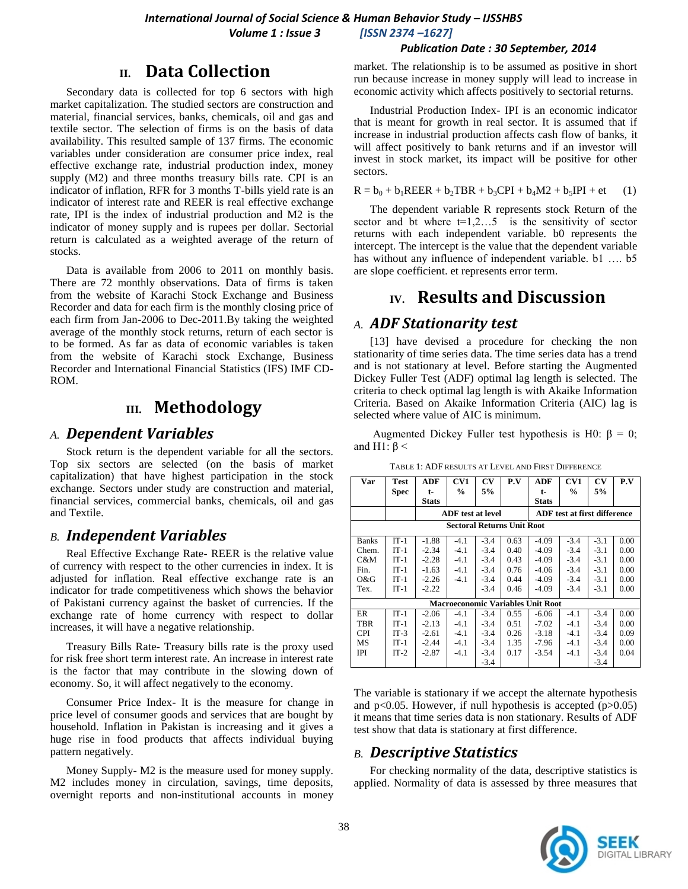#### *Publication Date : 30 September, 2014*

## **II. Data Collection**

Secondary data is collected for top 6 sectors with high market capitalization. The studied sectors are construction and material, financial services, banks, chemicals, oil and gas and textile sector. The selection of firms is on the basis of data availability. This resulted sample of 137 firms. The economic variables under consideration are consumer price index, real effective exchange rate, industrial production index, money supply  $(M2)$  and three months treasury bills rate. CPI is an indicator of inflation, RFR for 3 months T-bills yield rate is an indicator of interest rate and REER is real effective exchange rate, IPI is the index of industrial production and M2 is the indicator of money supply and is rupees per dollar. Sectorial return is calculated as a weighted average of the return of stocks.

Data is available from 2006 to 2011 on monthly basis. There are 72 monthly observations. Data of firms is taken from the website of Karachi Stock Exchange and Business Recorder and data for each firm is the monthly closing price of each firm from Jan-2006 to Dec-2011.By taking the weighted average of the monthly stock returns, return of each sector is to be formed. As far as data of economic variables is taken from the website of Karachi stock Exchange, Business Recorder and International Financial Statistics (IFS) IMF CD-ROM.

## **III. Methodology**

## *A. Dependent Variables*

Stock return is the dependent variable for all the sectors. Top six sectors are selected (on the basis of market capitalization) that have highest participation in the stock exchange. Sectors under study are construction and material, financial services, commercial banks, chemicals, oil and gas and Textile.

## *B. Independent Variables*

Real Effective Exchange Rate- REER is the relative value of currency with respect to the other currencies in index. It is adjusted for inflation. Real effective exchange rate is an indicator for trade competitiveness which shows the behavior of Pakistani currency against the basket of currencies. If the exchange rate of home currency with respect to dollar increases, it will have a negative relationship.

Treasury Bills Rate- Treasury bills rate is the proxy used for risk free short term interest rate. An increase in interest rate is the factor that may contribute in the slowing down of economy. So, it will affect negatively to the economy.

Consumer Price Index- It is the measure for change in price level of consumer goods and services that are bought by household. Inflation in Pakistan is increasing and it gives a huge rise in food products that affects individual buying pattern negatively.

Money Supply- M2 is the measure used for money supply. M2 includes money in circulation, savings, time deposits, overnight reports and non-institutional accounts in money market. The relationship is to be assumed as positive in short run because increase in money supply will lead to increase in economic activity which affects positively to sectorial returns.

Industrial Production Index- IPI is an economic indicator that is meant for growth in real sector. It is assumed that if increase in industrial production affects cash flow of banks, it will affect positively to bank returns and if an investor will invest in stock market, its impact will be positive for other sectors.

$$
R = b_0 + b_1 REER + b_2 TBR + b_3 CPI + b_4 M2 + b_5 IPI + et \qquad (1)
$$

The dependent variable R represents stock Return of the sector and bt where  $t=1,2...5$  is the sensitivity of sector returns with each independent variable. b0 represents the intercept. The intercept is the value that the dependent variable has without any influence of independent variable. b1 .... b5 are slope coefficient. et represents error term.

# **IV. Results and Discussion**

## *A. ADF Stationarity test*

[\[13\]](#page-4-12) have devised a procedure for checking the non stationarity of time series data. The time series data has a trend and is not stationary at level. Before starting the Augmented Dickey Fuller Test (ADF) optimal lag length is selected. The criteria to check optimal lag length is with Akaike Information Criteria. Based on Akaike Information Criteria (AIC) lag is selected where value of AIC is minimum.

Augmented Dickey Fuller test hypothesis is H0:  $\beta = 0$ ; and H1:  $\beta$  <

| Var                                      | Test        | <b>ADF</b>         | CV1<br>$\frac{0}{0}$     | CV     | P.V  | ADF                                 | CV1    | $\mathbf{C}\mathbf{V}$ | P.V  |  |
|------------------------------------------|-------------|--------------------|--------------------------|--------|------|-------------------------------------|--------|------------------------|------|--|
|                                          | <b>Spec</b> | t-<br><b>Stats</b> |                          | 5%     |      | t-<br>Stats                         | $\%$   | 5%                     |      |  |
|                                          |             |                    | <b>ADF</b> test at level |        |      | <b>ADF</b> test at first difference |        |                        |      |  |
| <b>Sectoral Returns Unit Root</b>        |             |                    |                          |        |      |                                     |        |                        |      |  |
| <b>Banks</b>                             | $IT-1$      | $-1.88$            | $-4.1$                   | $-3.4$ | 0.63 | $-4.09$                             | $-3.4$ | $-3.1$                 | 0.00 |  |
| Chem.                                    | $IT-1$      | $-2.34$            | $-4.1$                   | $-3.4$ | 0.40 | $-4.09$                             | $-3.4$ | $-3.1$                 | 0.00 |  |
| C&M                                      | $IT-1$      | $-2.28$            | $-4.1$                   | $-3.4$ | 0.43 | $-4.09$                             | $-3.4$ | $-3.1$                 | 0.00 |  |
| Fin.                                     | $IT-1$      | $-1.63$            | $-4.1$                   | $-3.4$ | 0.76 | $-4.06$                             | $-3.4$ | $-3.1$                 | 0.00 |  |
| O&G                                      | $IT-1$      | $-2.26$            | $-4.1$                   | $-3.4$ | 0.44 | $-4.09$                             | $-3.4$ | $-3.1$                 | 0.00 |  |
| Tex.                                     | $IT-1$      | $-2.22$            |                          | $-3.4$ | 0.46 | $-4.09$                             | $-3.4$ | $-3.1$                 | 0.00 |  |
| <b>Macroeconomic Variables Unit Root</b> |             |                    |                          |        |      |                                     |        |                        |      |  |
| ER                                       | $IT-1$      | $-2.06$            | $-4.1$                   | $-3.4$ | 0.55 | $-6.06$                             | $-4.1$ | $-3.4$                 | 0.00 |  |
| TBR                                      | $IT-1$      | $-2.13$            | $-4.1$                   | $-3.4$ | 0.51 | $-7.02$                             | $-4.1$ | $-3.4$                 | 0.00 |  |
| <b>CPI</b>                               | $IT-3$      | $-2.61$            | $-4.1$                   | $-3.4$ | 0.26 | $-3.18$                             | $-4.1$ | $-3.4$                 | 0.09 |  |
| MS                                       | $IT-1$      | $-2.44$            | $-4.1$                   | $-3.4$ | 1.35 | -7.96                               | $-4.1$ | $-3.4$                 | 0.00 |  |
| IPI                                      | $IT-2$      | $-2.87$            | $-4.1$                   | $-3.4$ | 0.17 | $-3.54$                             | $-4.1$ | $-3.4$                 | 0.04 |  |
|                                          |             |                    |                          | $-3.4$ |      |                                     |        | $-3.4$                 |      |  |

TABLE 1: ADF RESULTS AT LEVEL AND FIRST DIFFERENCE

The variable is stationary if we accept the alternate hypothesis and  $p<0.05$ . However, if null hypothesis is accepted ( $p>0.05$ ) it means that time series data is non stationary. Results of ADF test show that data is stationary at first difference.

## *B. Descriptive Statistics*

For checking normality of the data, descriptive statistics is applied. Normality of data is assessed by three measures that

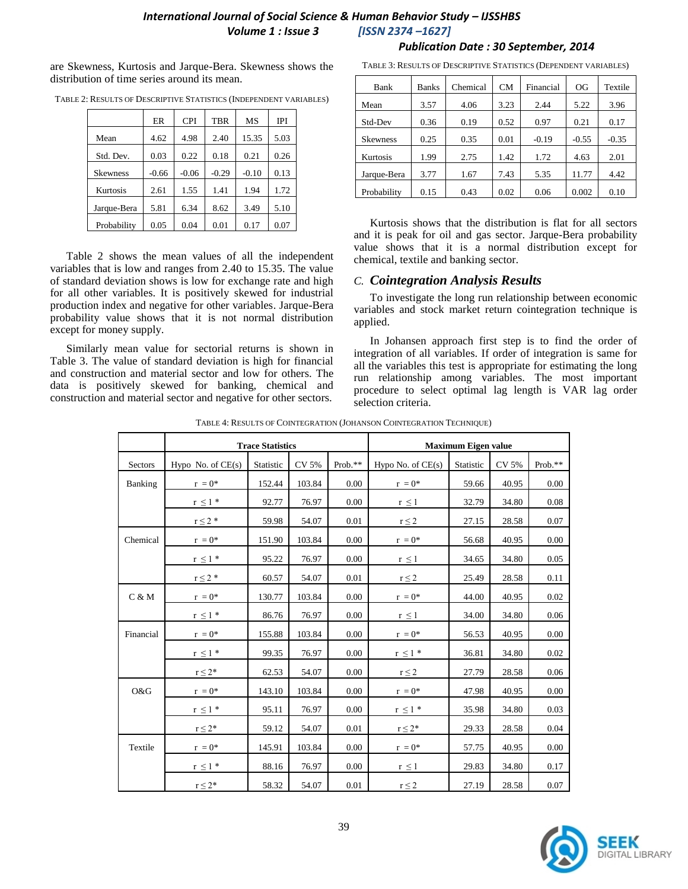## *International Journal of Social Science & Human Behavior Study – IJSSHBS Volume 1 : Issue 3 [ISSN 2374 –1627]*

are Skewness, Kurtosis and Jarque-Bera. Skewness shows the distribution of time series around its mean.

|                 | ER      | <b>CPI</b> | <b>TBR</b> | MS      | IPI  |
|-----------------|---------|------------|------------|---------|------|
| Mean            | 4.62    | 4.98       | 2.40       | 15.35   | 5.03 |
| Std. Dev.       | 0.03    | 0.22       | 0.18       | 0.21    | 0.26 |
| <b>Skewness</b> | $-0.66$ | $-0.06$    | $-0.29$    | $-0.10$ | 0.13 |
| Kurtosis        | 2.61    | 1.55       | 1.41       | 1.94    | 1.72 |
| Jarque-Bera     | 5.81    | 6.34       | 8.62       | 3.49    | 5.10 |
| Probability     | 0.05    | 0.04       | 0.01       | 0.17    | 0.07 |

TABLE 2: RESULTS OF DESCRIPTIVE STATISTICS (INDEPENDENT VARIABLES)

Table 2 shows the mean values of all the independent variables that is low and ranges from 2.40 to 15.35. The value of standard deviation shows is low for exchange rate and high for all other variables. It is positively skewed for industrial production index and negative for other variables. Jarque-Bera probability value shows that it is not normal distribution except for money supply.

Similarly mean value for sectorial returns is shown in Table 3. The value of standard deviation is high for financial and construction and material sector and low for others. The data is positively skewed for banking, chemical and construction and

 *Publication Date : 30 September, 2014*

| Bank            | <b>Banks</b> | Chemical | <b>CM</b> | Financial | OG      | Textile |
|-----------------|--------------|----------|-----------|-----------|---------|---------|
| Mean            | 3.57         | 4.06     | 3.23      | 2.44      | 5.22    | 3.96    |
| Std-Dev         | 0.36         | 0.19     | 0.52      | 0.97      | 0.21    | 0.17    |
| <b>Skewness</b> | 0.25         | 0.35     | 0.01      | $-0.19$   | $-0.55$ | $-0.35$ |
| Kurtosis        | 1.99         | 2.75     | 1.42      | 1.72      | 4.63    | 2.01    |
| Jarque-Bera     | 3.77         | 1.67     | 7.43      | 5.35      | 11.77   | 4.42    |
| Probability     | 0.15         | 0.43     | 0.02      | 0.06      | 0.002   | 0.10    |

Kurtosis shows that the distribution is flat for all sectors and it is peak for oil and gas sector. Jarque-Bera probability value shows that it is a normal distribution except for chemical, textile and banking sector.

#### *C. Cointegration Analysis Results*

To investigate the long run relationship between economic variables and stock market return cointegration technique is applied.

In Johansen approach first step is to find the order of integration of all variables. If order of integration is same for all the variables this test is appropriate for estimating the long run relationship among variables. The most important procedure to select optimal lag length is VAR lag order selection criteria.

| procedure to sencer optimal lag length is<br>I material sector and negative for other sectors.<br>selection criteria. |                             |                            |        |          |                                                                      |           |       |         |
|-----------------------------------------------------------------------------------------------------------------------|-----------------------------|----------------------------|--------|----------|----------------------------------------------------------------------|-----------|-------|---------|
|                                                                                                                       |                             |                            |        |          | TABLE 4: RESULTS OF COINTEGRATION (JOHANSON COINTEGRATION TECHNIQUE) |           |       |         |
|                                                                                                                       | <b>Trace Statistics</b>     | <b>Maximum Eigen value</b> |        |          |                                                                      |           |       |         |
| Sectors                                                                                                               | Hypo No. of $CE(s)$         | Statistic                  | CV 5%  | Prob.**  | Hypo No. of CE(s)                                                    | Statistic | CV 5% | Prob.** |
| Banking                                                                                                               | $r = 0^*$                   | 152.44                     | 103.84 | 0.00     | $r = 0^*$                                                            | 59.66     | 40.95 | 0.00    |
|                                                                                                                       | $r \leq 1$ *                | 92.77                      | 76.97  | 0.00     | $r \leq 1$                                                           | 32.79     | 34.80 | 0.08    |
|                                                                                                                       | $r \leq 2$ *                | 59.98                      | 54.07  | 0.01     | $r\leq 2$                                                            | 27.15     | 28.58 | 0.07    |
| Chemical                                                                                                              | $\mathbf{r}~=0^{*}$         | 151.90                     | 103.84 | 0.00     | $\mathbf{r}~=0^{*}$                                                  | 56.68     | 40.95 | 0.00    |
|                                                                                                                       | $r\,\leq 1$ *               | 95.22                      | 76.97  | 0.00     | $r \leq 1$                                                           | 34.65     | 34.80 | 0.05    |
|                                                                                                                       | $r\leq 2$ *                 | 60.57                      | 54.07  | 0.01     | $r \leq 2$                                                           | 25.49     | 28.58 | 0.11    |
| C & M                                                                                                                 | $r = 0^*$                   | 130.77                     | 103.84 | 0.00     | $r = 0^*$                                                            | 44.00     | 40.95 | 0.02    |
|                                                                                                                       | $r\,\leq1$ *                | 86.76                      | 76.97  | 0.00     | $r \leq 1$                                                           | 34.00     | 34.80 | 0.06    |
| Financial                                                                                                             | $\mathbf{r} = \mathbf{0}^*$ | 155.88                     | 103.84 | 0.00     | $\mathbf{r} = \mathbf{0}^*$                                          | 56.53     | 40.95 | 0.00    |
|                                                                                                                       | $r\,\leq 1$ *               | 99.35                      | 76.97  | 0.00     | $r\leq 1$ *                                                          | 36.81     | 34.80 | 0.02    |
|                                                                                                                       | $r \leq 2^*$                | 62.53                      | 54.07  | 0.00     | $r \leq 2$                                                           | 27.79     | 28.58 | 0.06    |
| O&G                                                                                                                   | $r = 0^*$                   | 143.10                     | 103.84 | 0.00     | $r = 0^*$                                                            | 47.98     | 40.95 | 0.00    |
|                                                                                                                       | $r\,\leq 1$ *               | 95.11                      | 76.97  | 0.00     | $r\,\leq 1$ *                                                        | 35.98     | 34.80 | 0.03    |
|                                                                                                                       | $r\leq 2^*$                 | 59.12                      | 54.07  | $0.01\,$ | $r\leq 2^*$                                                          | 29.33     | 28.58 | 0.04    |
| Textile                                                                                                               | $r = 0^*$                   | 145.91                     | 103.84 | 0.00     | $\mathbf{r}~=0$ *                                                    | 57.75     | 40.95 | 0.00    |
|                                                                                                                       | $r \leq 1$ *                | 88.16                      | 76.97  | 0.00     | $r \leq 1$                                                           | 29.83     | 34.80 | 0.17    |
|                                                                                                                       | $r \leq 2^*$                | 58.32                      | 54.07  | 0.01     | $r\leq 2$                                                            | 27.19     | 28.58 | 0.07    |
|                                                                                                                       |                             |                            |        |          |                                                                      |           |       |         |
|                                                                                                                       |                             |                            |        | 39       |                                                                      |           |       |         |

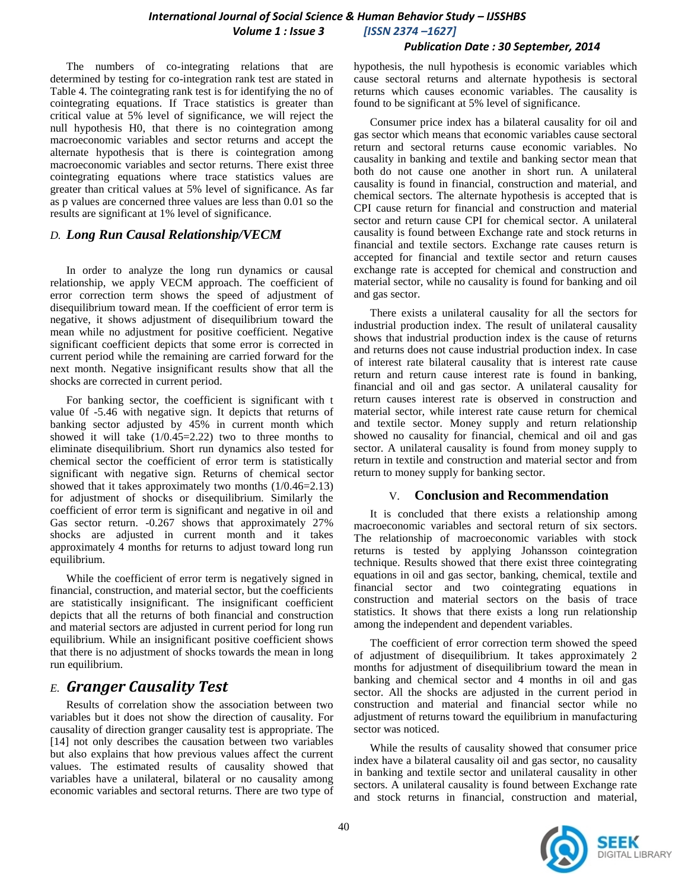#### *International Journal of Social Science & Human Behavior Study – IJSSHBS Volume 1 : Issue 3 [ISSN 2374 –1627]*

#### *Publication Date : 30 September, 2014*

The numbers of co-integrating relations that are determined by testing for co-integration rank test are stated in Table 4. The cointegrating rank test is for identifying the no of cointegrating equations. If Trace statistics is greater than critical value at 5% level of significance, we will reject the null hypothesis H0, that there is no cointegration among macroeconomic variables and sector returns and accept the alternate hypothesis that is there is cointegration among macroeconomic variables and sector returns. There exist three cointegrating equations where trace statistics values are greater than critical values at 5% level of significance. As far as p values are concerned three values are less than 0.01 so the results are significant at 1% level of significance.

#### *D. Long Run Causal Relationship/VECM*

In order to analyze the long run dynamics or causal relationship, we apply VECM approach. The coefficient of error correction term shows the speed of adjustment of disequilibrium toward mean. If the coefficient of error term is negative, it shows adjustment of disequilibrium toward the mean while no adjustment for positive coefficient. Negative significant coefficient depicts that some error is corrected in current period while the remaining are carried forward for the next month. Negative insignificant results show that all the shocks are corrected in current period.

For banking sector, the coefficient is significant with t value 0f -5.46 with negative sign. It depicts that returns of banking sector adjusted by 45% in current month which showed it will take  $(1/0.45=2.22)$  two to three months to eliminate disequilibrium. Short run dynamics also tested for chemical sector the coefficient of error term is statistically significant with negative sign. Returns of chemical sector showed that it takes approximately two months (1/0.46=2.13) for adjustment of shocks or disequilibrium. Similarly the coefficient of error term is significant and negative in oil and Gas sector return. -0.267 shows that approximately 27% shocks are adjusted in current month and it takes approximately 4 months for returns to adjust toward long run equilibrium.

While the coefficient of error term is negatively signed in financial, construction, and material sector, but the coefficients are statistically insignificant. The insignificant coefficient depicts that all the returns of both financial and construction and material sectors are adjusted in current period for long run equilibrium. While an insignificant positive coefficient shows that there is no adjustment of shocks towards the mean in long run equilibrium.

## *E. Granger Causality Test*

Results of correlation show the association between two variables but it does not show the direction of causality. For causality of direction granger causality test is appropriate. The [\[14\]](#page-4-13) not only describes the causation between two variables but also explains that how previous values affect the current values. The estimated results of causality showed that variables have a unilateral, bilateral or no causality among economic variables and sectoral returns. There are two type of hypothesis, the null hypothesis is economic variables which cause sectoral returns and alternate hypothesis is sectoral returns which causes economic variables. The causality is found to be significant at 5% level of significance.

Consumer price index has a bilateral causality for oil and gas sector which means that economic variables cause sectoral return and sectoral returns cause economic variables. No causality in banking and textile and banking sector mean that both do not cause one another in short run. A unilateral causality is found in financial, construction and material, and chemical sectors. The alternate hypothesis is accepted that is CPI cause return for financial and construction and material sector and return cause CPI for chemical sector. A unilateral causality is found between Exchange rate and stock returns in financial and textile sectors. Exchange rate causes return is accepted for financial and textile sector and return causes exchange rate is accepted for chemical and construction and material sector, while no causality is found for banking and oil and gas sector.

There exists a unilateral causality for all the sectors for industrial production index. The result of unilateral causality shows that industrial production index is the cause of returns and returns does not cause industrial production index. In case of interest rate bilateral causality that is interest rate cause return and return cause interest rate is found in banking, financial and oil and gas sector. A unilateral causality for return causes interest rate is observed in construction and material sector, while interest rate cause return for chemical and textile sector. Money supply and return relationship showed no causality for financial, chemical and oil and gas sector. A unilateral causality is found from money supply to return in textile and construction and material sector and from return to money supply for banking sector.

#### V. **Conclusion and Recommendation**

It is concluded that there exists a relationship among macroeconomic variables and sectoral return of six sectors. The relationship of macroeconomic variables with stock returns is tested by applying Johansson cointegration technique. Results showed that there exist three cointegrating equations in oil and gas sector, banking, chemical, textile and financial sector and two cointegrating equations in construction and material sectors on the basis of trace statistics. It shows that there exists a long run relationship among the independent and dependent variables.

The coefficient of error correction term showed the speed of adjustment of disequilibrium. It takes approximately 2 months for adjustment of disequilibrium toward the mean in banking and chemical sector and 4 months in oil and gas sector. All the shocks are adjusted in the current period in construction and material and financial sector while no adjustment of returns toward the equilibrium in manufacturing sector was noticed.

While the results of causality showed that consumer price index have a bilateral causality oil and gas sector, no causality in banking and textile sector and unilateral causality in other sectors. A unilateral causality is found between Exchange rate and stock returns in financial, construction and material,